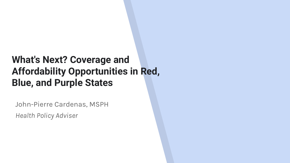### **What's Next? Coverage and Affordability Opportunities in Red, Blue, and Purple States**

John-Pierre Cardenas, MSPH *Health Policy Adviser*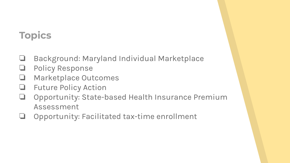# **Topics**

- ❏ Background: Maryland Individual Marketplace
- ❏ Policy Response
- ❏ Marketplace Outcomes
- ❏ Future Policy Action
- ❏ Opportunity: State-based Health Insurance Premium Assessment
- ❏ Opportunity: Facilitated tax-time enrollment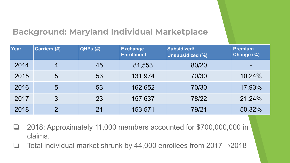#### **Background: Maryland Individual Marketplace**

| <b>Year</b> | Carriers (#)   | <b>QHPs (#)</b> | <b>Exchange</b><br><b>Enrollment</b> | Subsidized/<br><b>Unsubsidized (%)</b> | <b>Premium</b><br>Change (%) |
|-------------|----------------|-----------------|--------------------------------------|----------------------------------------|------------------------------|
| 2014        | $\overline{4}$ | 45              | 81,553                               | 80/20                                  |                              |
| 2015        | 5              | 53              | 131,974                              | 70/30                                  | 10.24%                       |
| 2016        | 5              | 53              | 162,652                              | 70/30                                  | 17.93%                       |
| 2017        | 3              | 23              | 157,637                              | 78/22                                  | 21.24%                       |
| 2018        | $\mathcal{P}$  | 21              | 153,571                              | 79/21                                  | 50.32%                       |

- ❏ 2018: Approximately 11,000 members accounted for \$700,000,000 in claims.
- ❏ Total individual market shrunk by 44,000 enrollees from 2017→2018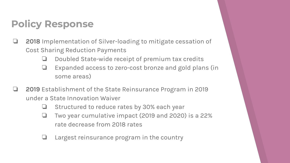## **Policy Response**

- ❏ **2018** Implementation of Silver-loading to mitigate cessation of Cost Sharing Reduction Payments
	- ❏ Doubled State-wide receipt of premium tax credits
	- ❏ Expanded access to zero-cost bronze and gold plans (in some areas)
- ❏ **2019** Establishment of the State Reinsurance Program in 2019 under a State Innovation Waiver
	- ❏ Structured to reduce rates by 30% each year
	- ❏ Two year cumulative impact (2019 and 2020) is a 22% rate decrease from 2018 rates
	- Largest reinsurance program in the country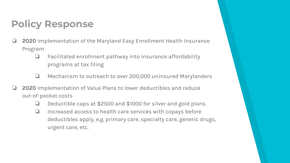## **Policy Response**

- ❏ **2020** Implementation of the Maryland Easy Enrollment Health Insurance Program
	- ❏ Facilitated enrollment pathway into insurance affordability programs at tax filing
	- ❏ Mechanism to outreach to over 200,000 uninsured Marylanders
- ❏ **2020** Implementation of Value Plans to lower deductibles and reduce out-of-pocket costs
	- ❏ Deductible caps at \$2500 and \$1000 for silver and gold plans.
	- ❏ Increased access to health care services with copays before deductibles apply, e.g. primary care, specialty care, generic drugs, urgent care, etc.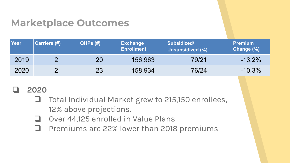### **Marketplace Outcomes**

| Year | <b>Carriers (#)</b> | QHPs(H) | <b>Exchange</b><br><b>Enrollment</b> | Subsidized/<br>Unsubsidized (%) | Premium<br>Change (%) |
|------|---------------------|---------|--------------------------------------|---------------------------------|-----------------------|
| 2019 |                     | 20      | 156,963                              | 79/21                           | $-13.2%$              |
| 2020 |                     | 23      | 158,934                              | 76/24                           | $-10.3%$              |

#### ❏ **2020**

- ❏ Total Individual Market grew to 215,150 enrollees, 12% above projections.
- ❏ Over 44,125 enrolled in Value Plans
- ❏ Premiums are 22% lower than 2018 premiums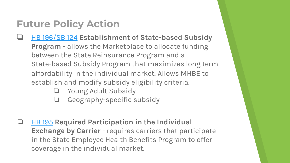# **Future Policy Action**

- ❏ [HB 196/SB 124](http://mgaleg.maryland.gov/2020RS/bills/hb/hb0196f.pdf) **Establishment of State-based Subsidy Program** - allows the Marketplace to allocate funding between the State Reinsurance Program and a State-based Subsidy Program that maximizes long term affordability in the individual market. Allows MHBE to establish and modify subsidy eligibility criteria.
	- ❏ Young Adult Subsidy
	- ❏ Geography-specific subsidy
- ❏ [HB 195](http://mgaleg.maryland.gov/2020RS/bills/hb/hb0195f.pdf) **Required Participation in the Individual Exchange by Carrier** - requires carriers that participate in the State Employee Health Benefits Program to offer coverage in the individual market.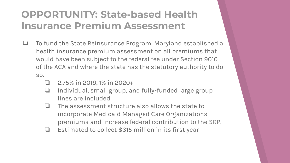### **OPPORTUNITY: State-based Health Insurance Premium Assessment**

- ❏ To fund the State Reinsurance Program, Maryland established a health insurance premium assessment on all premiums that would have been subject to the federal fee under Section 9010 of the ACA and where the state has the statutory authority to do so.
	- $\Box$  2.75% in 2019, 1% in 2020+
	- ❏ Individual, small group, and fully-funded large group lines are included
	- ❏ The assessment structure also allows the state to incorporate Medicaid Managed Care Organizations premiums and increase federal contribution to the SRP.
	- ❏ Estimated to collect \$315 million in its first year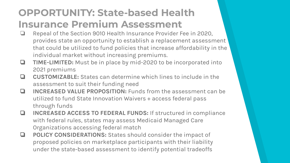### **OPPORTUNITY: State-based Health Insurance Premium Assessment**

- ❏ Repeal of the Section 9010 Health Insurance Provider Fee in 2020, provides state an opportunity to establish a replacement assessment that could be utilized to fund policies that increase affordability in the individual market without increasing premiums.
- ❏ **TIME-LIMITED:** Must be in place by mid-2020 to be incorporated into 2021 premiums
- ❏ **CUSTOMIZABLE:** States can determine which lines to include in the assessment to suit their funding need
- ❏ **INCREASED VALUE PROPOSITION:** Funds from the assessment can be utilized to fund State Innovation Waivers + access federal pass through funds
- ❏ **INCREASED ACCESS TO FEDERAL FUNDS:** If structured in compliance with federal rules, states may assess Medicaid Managed Care Organizations accessing federal match
- ❏ **POLICY CONSIDERATIONS:** States should consider the impact of proposed policies on marketplace participants with their liability under the state-based assessment to identify potential tradeoffs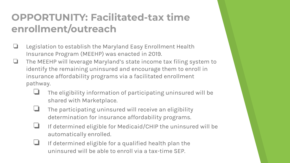## **OPPORTUNITY: Facilitated-tax time enrollment/outreach**

- ❏ Legislation to establish the Maryland Easy Enrollment Health Insurance Program (MEEHP) was enacted in 2019.
- ❏ The MEEHP will leverage Maryland's state income tax filing system to identify the remaining uninsured and encourage them to enroll in insurance affordability programs via a facilitated enrollment pathway.
	- ❏ The eligibility information of participating uninsured will be shared with Marketplace.
	- The participating uninsured will receive an eligibility determination for insurance affordability programs.
	- ❏ If determined eligible for Medicaid/CHIP the uninsured will be automatically enrolled.
	- ❏ If determined eligible for a qualified health plan the uninsured will be able to enroll via a tax-time SEP.